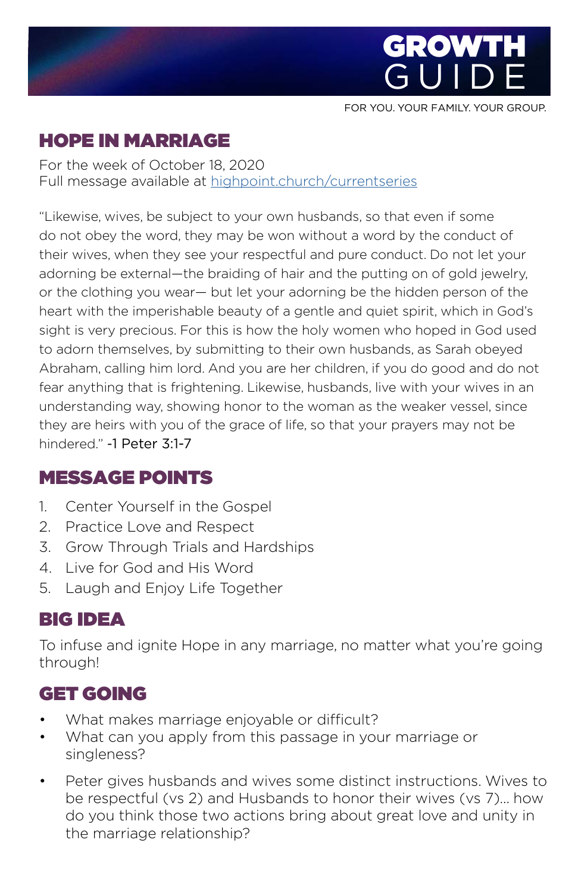

FOR YOU. YOUR FAMILY. YOUR GROUP.

# HOPE IN MARRIAGE

For the week of October 18, 2020 Full message available at [highpoint.church/currentseries](http://highpoint.church/currentseries)

"Likewise, wives, be subject to your own husbands, so that even if some do not obey the word, they may be won without a word by the conduct of their wives, when they see your respectful and pure conduct. Do not let your adorning be external—the braiding of hair and the putting on of gold jewelry, or the clothing you wear— but let your adorning be the hidden person of the heart with the imperishable beauty of a gentle and quiet spirit, which in God's sight is very precious. For this is how the holy women who hoped in God used to adorn themselves, by submitting to their own husbands, as Sarah obeyed Abraham, calling him lord. And you are her children, if you do good and do not fear anything that is frightening. Likewise, husbands, live with your wives in an understanding way, showing honor to the woman as the weaker vessel, since they are heirs with you of the grace of life, so that your prayers may not be hindered." -1 Peter 3:1-7

### MESSAGE POINTS

- 1. Center Yourself in the Gospel
- 2. Practice Love and Respect
- 3. Grow Through Trials and Hardships
- 4. Live for God and His Word
- 5. Laugh and Enjoy Life Together

# BIG IDEA

To infuse and ignite Hope in any marriage, no matter what you're going through!

# GET GOING

- What makes marriage enjoyable or difficult?
- What can you apply from this passage in your marriage or singleness?
- Peter gives husbands and wives some distinct instructions. Wives to be respectful (vs 2) and Husbands to honor their wives (vs 7)... how do you think those two actions bring about great love and unity in the marriage relationship?